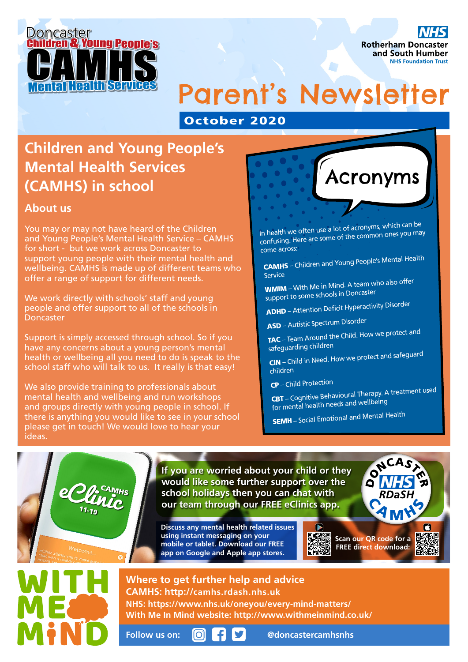

**Rotherham Doncaster** and South Humber **NHS Foundation Trust** 

## Parent's Newsletter

October 2020

## **Children and Young People's Mental Health Services (CAMHS) in school**

## **About us**

You may or may not have heard of the Children and Young People's Mental Health Service – CAMHS for short - but we work across Doncaster to support young people with their mental health and wellbeing. CAMHS is made up of different teams who offer a range of support for different needs.

We work directly with schools' staff and young people and offer support to all of the schools in Doncaster

Support is simply accessed through school. So if you have any concerns about a young person's mental health or wellbeing all you need to do is speak to the school staff who will talk to us. It really is that easy!

We also provide training to professionals about mental health and wellbeing and run workshops and groups directly with young people in school. If there is anything you would like to see in your school please get in touch! We would love to hear your ideas.



In health we often use a lot of acronyms, which can be confusing. Here are some of the common ones you may come across:

CAMHS – Children and Young People's Mental Health Service

WMIM – With Me in Mind. A team who also offer support to some schools in Doncaster

ADHD – Attention Deficit Hyperactivity Disorder

ASD – Autistic Spectrum Disorder

TAC – Team Around the Child. How we protect an<sup>d</sup> safeguarding children

CIN – Child in Need. How we protect and safeguard children

CP – Child Protection

CBT – Cognitive Behavioural Therapy. A treatment used for mental health needs and wellbeing

SEMH – Social Emotional and Mental Health

**If you are worried about your child or they would like some further support over the school holidays then you can chat with our team through our FREE eClinics app.**

**Discuss any mental health related issues using instant messaging on your mobile or tablet. Download our FREE app on Google and Apple app stores.**



F

## **Where to get further help and advice CAMHS: http://camhs.rdash.nhs.uk**

**NHS: https://www.nhs.uk/oneyou/every-mind-matters/ With Me In Mind website: http://www.withmeinmind.co.uk/**

**Follow us on: @doncastercamhsnhs**